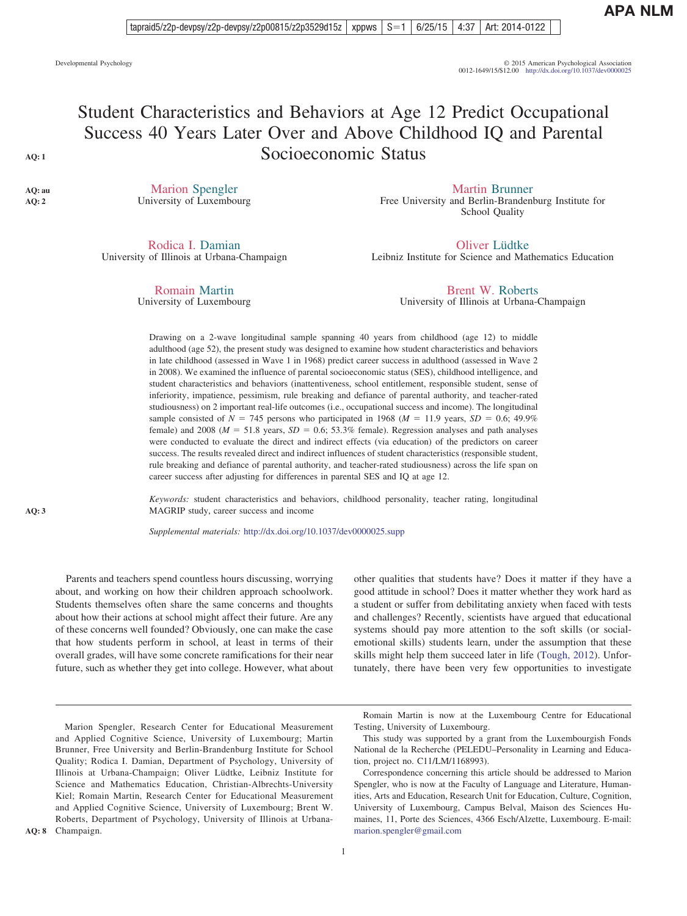# Student Characteristics and Behaviors at Age 12 Predict Occupational Success 40 Years Later Over and Above Childhood IQ and Parental Socioeconomic Status

**AQ: 1**

**AQ: au AQ: 2**

 $\frac{1}{2}$ 

**AQ: 3**

Marion Spengler University of Luxembourg

Rodica I. Damian University of Illinois at Urbana-Champaign

> Romain Martin University of Luxembourg

Martin Brunner Free University and Berlin-Brandenburg Institute for School Quality

Oliver Lüdtke Leibniz Institute for Science and Mathematics Education

> Brent W. Roberts University of Illinois at Urbana-Champaign

Drawing on a 2-wave longitudinal sample spanning 40 years from childhood (age 12) to middle adulthood (age 52), the present study was designed to examine how student characteristics and behaviors in late childhood (assessed in Wave 1 in 1968) predict career success in adulthood (assessed in Wave 2 in 2008). We examined the influence of parental socioeconomic status (SES), childhood intelligence, and student characteristics and behaviors (inattentiveness, school entitlement, responsible student, sense of inferiority, impatience, pessimism, rule breaking and defiance of parental authority, and teacher-rated studiousness) on 2 important real-life outcomes (i.e., occupational success and income). The longitudinal sample consisted of  $N = 745$  persons who participated in 1968 ( $M = 11.9$  years,  $SD = 0.6$ ; 49.9% female) and 2008 ( $M = 51.8$  years,  $SD = 0.6$ ; 53.3% female). Regression analyses and path analyses were conducted to evaluate the direct and indirect effects (via education) of the predictors on career success. The results revealed direct and indirect influences of student characteristics (responsible student, rule breaking and defiance of parental authority, and teacher-rated studiousness) across the life span on career success after adjusting for differences in parental SES and IQ at age 12.

*Keywords:* student characteristics and behaviors, childhood personality, teacher rating, longitudinal MAGRIP study, career success and income

*Supplemental materials:* http://dx.doi.org[/10.1037/dev0000025.supp](http://dx.doi.org/10.1037/dev0000025.supp)

Parents and teachers spend countless hours discussing, worrying about, and working on how their children approach schoolwork. Students themselves often share the same concerns and thoughts about how their actions at school might affect their future. Are any of these concerns well founded? Obviously, one can make the case that how students perform in school, at least in terms of their overall grades, will have some concrete ramifications for their near future, such as whether they get into college. However, what about other qualities that students have? Does it matter if they have a good attitude in school? Does it matter whether they work hard as a student or suffer from debilitating anxiety when faced with tests and challenges? Recently, scientists have argued that educational systems should pay more attention to the soft skills (or socialemotional skills) students learn, under the assumption that these skills might help them succeed later in life [\(Tough, 2012\)](#page-11-0). Unfortunately, there have been very few opportunities to investigate

Marion Spengler, Research Center for Educational Measurement and Applied Cognitive Science, University of Luxembourg; Martin Brunner, Free University and Berlin-Brandenburg Institute for School Quality; Rodica I. Damian, Department of Psychology, University of Illinois at Urbana-Champaign; Oliver Lüdtke, Leibniz Institute for Science and Mathematics Education, Christian-Albrechts-University Kiel; Romain Martin, Research Center for Educational Measurement and Applied Cognitive Science, University of Luxembourg; Brent W. Roberts, Department of Psychology, University of Illinois at Urbana-

AQ: 8 Champaign.

Romain Martin is now at the Luxembourg Centre for Educational Testing, University of Luxembourg.

This study was supported by a grant from the Luxembourgish Fonds National de la Recherche (PELEDU–Personality in Learning and Education, project no. C11/LM/1168993).

Correspondence concerning this article should be addressed to Marion Spengler, who is now at the Faculty of Language and Literature, Humanities, Arts and Education, Research Unit for Education, Culture, Cognition, University of Luxembourg, Campus Belval, Maison des Sciences Humaines, 11, Porte des Sciences, 4366 Esch/Alzette, Luxembourg. E-mail: [marion.spengler@gmail.com](mailto:marion.spengler@gmail.com)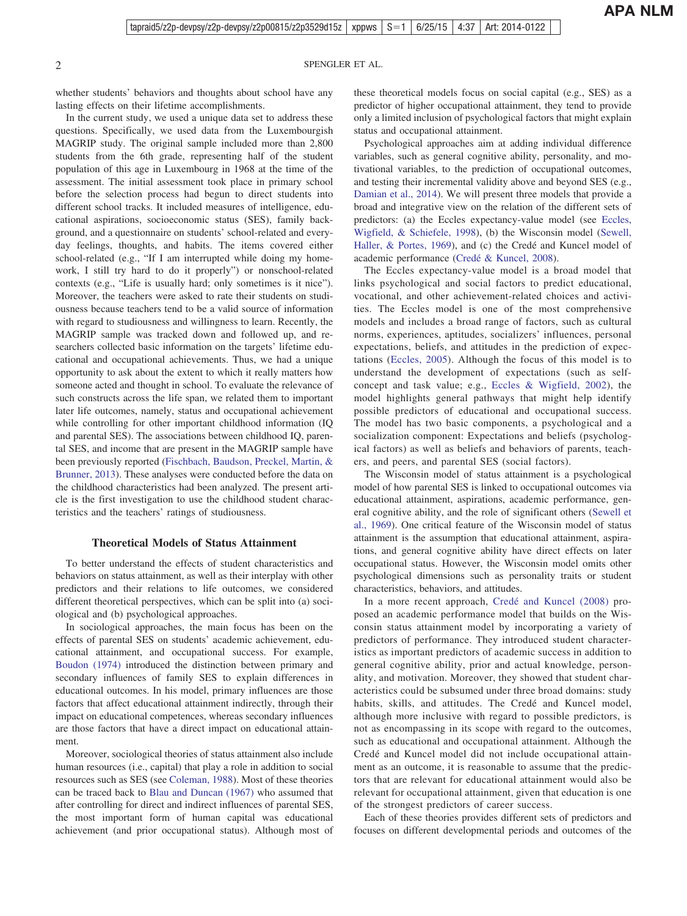whether students' behaviors and thoughts about school have any lasting effects on their lifetime accomplishments.

In the current study, we used a unique data set to address these questions. Specifically, we used data from the Luxembourgish MAGRIP study. The original sample included more than 2,800 students from the 6th grade, representing half of the student population of this age in Luxembourg in 1968 at the time of the assessment. The initial assessment took place in primary school before the selection process had begun to direct students into different school tracks. It included measures of intelligence, educational aspirations, socioeconomic status (SES), family background, and a questionnaire on students' school-related and everyday feelings, thoughts, and habits. The items covered either school-related (e.g., "If I am interrupted while doing my homework, I still try hard to do it properly") or nonschool-related contexts (e.g., "Life is usually hard; only sometimes is it nice"). Moreover, the teachers were asked to rate their students on studiousness because teachers tend to be a valid source of information with regard to studiousness and willingness to learn. Recently, the MAGRIP sample was tracked down and followed up, and researchers collected basic information on the targets' lifetime educational and occupational achievements. Thus, we had a unique opportunity to ask about the extent to which it really matters how someone acted and thought in school. To evaluate the relevance of such constructs across the life span, we related them to important later life outcomes, namely, status and occupational achievement while controlling for other important childhood information (IQ and parental SES). The associations between childhood IQ, parental SES, and income that are present in the MAGRIP sample have been previously reported [\(Fischbach, Baudson, Preckel, Martin, &](#page-10-0) [Brunner, 2013\)](#page-10-0). These analyses were conducted before the data on the childhood characteristics had been analyzed. The present article is the first investigation to use the childhood student characteristics and the teachers' ratings of studiousness.

### **Theoretical Models of Status Attainment**

To better understand the effects of student characteristics and behaviors on status attainment, as well as their interplay with other predictors and their relations to life outcomes, we considered different theoretical perspectives, which can be split into (a) sociological and (b) psychological approaches.

In sociological approaches, the main focus has been on the effects of parental SES on students' academic achievement, educational attainment, and occupational success. For example, [Boudon \(1974\)](#page-10-1) introduced the distinction between primary and secondary influences of family SES to explain differences in educational outcomes. In his model, primary influences are those factors that affect educational attainment indirectly, through their impact on educational competences, whereas secondary influences are those factors that have a direct impact on educational attainment.

Moreover, sociological theories of status attainment also include human resources (i.e., capital) that play a role in addition to social resources such as SES (see [Coleman, 1988\)](#page-10-2). Most of these theories can be traced back to [Blau and Duncan \(1967\)](#page-10-3) who assumed that after controlling for direct and indirect influences of parental SES, the most important form of human capital was educational achievement (and prior occupational status). Although most of these theoretical models focus on social capital (e.g., SES) as a predictor of higher occupational attainment, they tend to provide only a limited inclusion of psychological factors that might explain status and occupational attainment.

Psychological approaches aim at adding individual difference variables, such as general cognitive ability, personality, and motivational variables, to the prediction of occupational outcomes, and testing their incremental validity above and beyond SES (e.g., [Damian et al., 2014\)](#page-10-4). We will present three models that provide a broad and integrative view on the relation of the different sets of predictors: (a) the Eccles expectancy-value model (see [Eccles,](#page-10-5) [Wigfield, & Schiefele, 1998\)](#page-10-5), (b) the Wisconsin model [\(Sewell,](#page-11-1) [Haller, & Portes, 1969\)](#page-11-1), and (c) the Credé and Kuncel model of academic performance [\(Credé & Kuncel, 2008\)](#page-10-6).

The Eccles expectancy-value model is a broad model that links psychological and social factors to predict educational, vocational, and other achievement-related choices and activities. The Eccles model is one of the most comprehensive models and includes a broad range of factors, such as cultural norms, experiences, aptitudes, socializers' influences, personal expectations, beliefs, and attitudes in the prediction of expectations [\(Eccles, 2005\)](#page-10-7). Although the focus of this model is to understand the development of expectations (such as selfconcept and task value; e.g., [Eccles & Wigfield, 2002\)](#page-10-8), the model highlights general pathways that might help identify possible predictors of educational and occupational success. The model has two basic components, a psychological and a socialization component: Expectations and beliefs (psychological factors) as well as beliefs and behaviors of parents, teachers, and peers, and parental SES (social factors).

The Wisconsin model of status attainment is a psychological model of how parental SES is linked to occupational outcomes via educational attainment, aspirations, academic performance, general cognitive ability, and the role of significant others [\(Sewell et](#page-11-1) [al., 1969\)](#page-11-1). One critical feature of the Wisconsin model of status attainment is the assumption that educational attainment, aspirations, and general cognitive ability have direct effects on later occupational status. However, the Wisconsin model omits other psychological dimensions such as personality traits or student characteristics, behaviors, and attitudes.

In a more recent approach, [Credé and Kuncel \(2008\)](#page-10-6) proposed an academic performance model that builds on the Wisconsin status attainment model by incorporating a variety of predictors of performance. They introduced student characteristics as important predictors of academic success in addition to general cognitive ability, prior and actual knowledge, personality, and motivation. Moreover, they showed that student characteristics could be subsumed under three broad domains: study habits, skills, and attitudes. The Credé and Kuncel model, although more inclusive with regard to possible predictors, is not as encompassing in its scope with regard to the outcomes, such as educational and occupational attainment. Although the Credé and Kuncel model did not include occupational attainment as an outcome, it is reasonable to assume that the predictors that are relevant for educational attainment would also be relevant for occupational attainment, given that education is one of the strongest predictors of career success.

Each of these theories provides different sets of predictors and focuses on different developmental periods and outcomes of the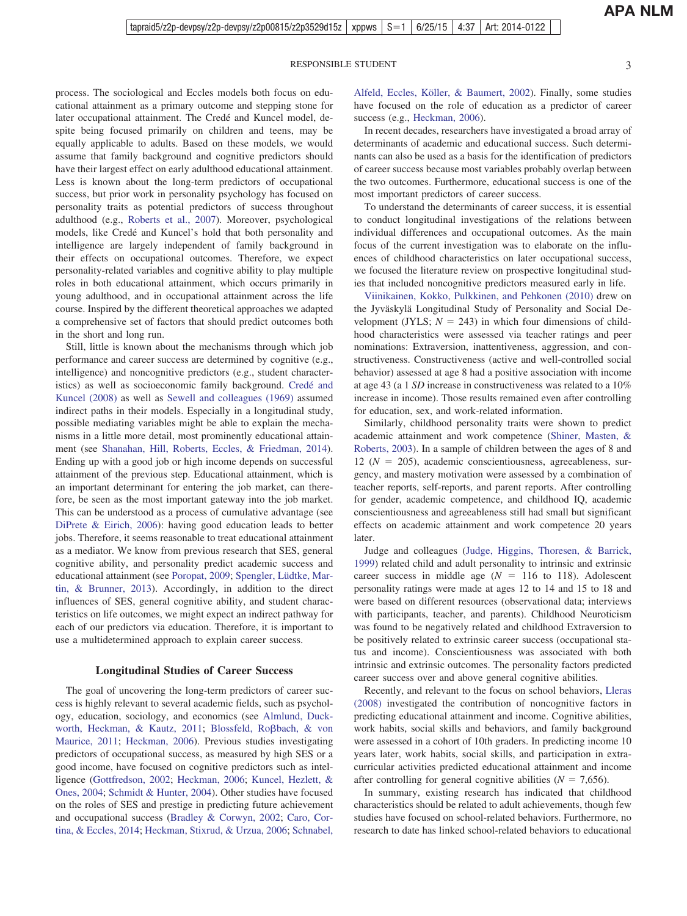process. The sociological and Eccles models both focus on educational attainment as a primary outcome and stepping stone for later occupational attainment. The Credé and Kuncel model, despite being focused primarily on children and teens, may be equally applicable to adults. Based on these models, we would assume that family background and cognitive predictors should have their largest effect on early adulthood educational attainment. Less is known about the long-term predictors of occupational success, but prior work in personality psychology has focused on personality traits as potential predictors of success throughout adulthood (e.g., [Roberts et al., 2007\)](#page-11-2). Moreover, psychological models, like Credé and Kuncel's hold that both personality and intelligence are largely independent of family background in their effects on occupational outcomes. Therefore, we expect personality-related variables and cognitive ability to play multiple roles in both educational attainment, which occurs primarily in young adulthood, and in occupational attainment across the life course. Inspired by the different theoretical approaches we adapted a comprehensive set of factors that should predict outcomes both in the short and long run.

Still, little is known about the mechanisms through which job performance and career success are determined by cognitive (e.g., intelligence) and noncognitive predictors (e.g., student characteristics) as well as socioeconomic family background. [Credé and](#page-10-6) [Kuncel \(2008\)](#page-10-6) as well as [Sewell and colleagues \(1969\)](#page-11-1) assumed indirect paths in their models. Especially in a longitudinal study, possible mediating variables might be able to explain the mechanisms in a little more detail, most prominently educational attainment (see [Shanahan, Hill, Roberts, Eccles, & Friedman, 2014\)](#page-11-3). Ending up with a good job or high income depends on successful attainment of the previous step. Educational attainment, which is an important determinant for entering the job market, can therefore, be seen as the most important gateway into the job market. This can be understood as a process of cumulative advantage (see [DiPrete & Eirich, 2006\)](#page-10-9): having good education leads to better jobs. Therefore, it seems reasonable to treat educational attainment as a mediator. We know from previous research that SES, general cognitive ability, and personality predict academic success and educational attainment (see [Poropat, 2009;](#page-11-4) [Spengler, Lüdtke, Mar](#page-11-5)[tin, & Brunner, 2013\)](#page-11-5). Accordingly, in addition to the direct influences of SES, general cognitive ability, and student characteristics on life outcomes, we might expect an indirect pathway for each of our predictors via education. Therefore, it is important to use a multidetermined approach to explain career success.

### **Longitudinal Studies of Career Success**

The goal of uncovering the long-term predictors of career success is highly relevant to several academic fields, such as psychology, education, sociology, and economics (see [Almlund, Duck](#page-10-10)[worth, Heckman, & Kautz, 2011;](#page-10-10) [Blossfeld, Ro](#page-10-11)ßbach, & von [Maurice, 2011;](#page-10-11) [Heckman, 2006\)](#page-11-6). Previous studies investigating predictors of occupational success, as measured by high SES or a good income, have focused on cognitive predictors such as intelligence [\(Gottfredson, 2002;](#page-10-12) [Heckman, 2006;](#page-11-6) [Kuncel, Hezlett, &](#page-11-7) [Ones, 2004;](#page-11-7) [Schmidt & Hunter, 2004\)](#page-11-8). Other studies have focused on the roles of SES and prestige in predicting future achievement and occupational success [\(Bradley & Corwyn, 2002;](#page-10-13) [Caro, Cor](#page-10-14)[tina, & Eccles, 2014;](#page-10-14) [Heckman, Stixrud, & Urzua, 2006;](#page-11-9) [Schnabel,](#page-11-10)

[Alfeld, Eccles, Köller, & Baumert, 2002\)](#page-11-10). Finally, some studies have focused on the role of education as a predictor of career success (e.g., [Heckman, 2006\)](#page-11-6).

In recent decades, researchers have investigated a broad array of determinants of academic and educational success. Such determinants can also be used as a basis for the identification of predictors of career success because most variables probably overlap between the two outcomes. Furthermore, educational success is one of the most important predictors of career success.

To understand the determinants of career success, it is essential to conduct longitudinal investigations of the relations between individual differences and occupational outcomes. As the main focus of the current investigation was to elaborate on the influences of childhood characteristics on later occupational success, we focused the literature review on prospective longitudinal studies that included noncognitive predictors measured early in life.

[Viinikainen, Kokko, Pulkkinen, and Pehkonen \(2010\)](#page-11-11) drew on the Jyväskylä Longitudinal Study of Personality and Social Development (JYLS;  $N = 243$ ) in which four dimensions of childhood characteristics were assessed via teacher ratings and peer nominations: Extraversion, inattentiveness, aggression, and constructiveness. Constructiveness (active and well-controlled social behavior) assessed at age 8 had a positive association with income at age 43 (a 1 *SD* increase in constructiveness was related to a 10% increase in income). Those results remained even after controlling for education, sex, and work-related information.

Similarly, childhood personality traits were shown to predict academic attainment and work competence [\(Shiner, Masten, &](#page-11-12) [Roberts, 2003\)](#page-11-12). In a sample of children between the ages of 8 and  $12$  ( $N = 205$ ), academic conscientiousness, agreeableness, surgency, and mastery motivation were assessed by a combination of teacher reports, self-reports, and parent reports. After controlling for gender, academic competence, and childhood IQ, academic conscientiousness and agreeableness still had small but significant effects on academic attainment and work competence 20 years later.

Judge and colleagues [\(Judge, Higgins, Thoresen, & Barrick,](#page-11-13) [1999\)](#page-11-13) related child and adult personality to intrinsic and extrinsic career success in middle age  $(N = 116$  to 118). Adolescent personality ratings were made at ages 12 to 14 and 15 to 18 and were based on different resources (observational data; interviews with participants, teacher, and parents). Childhood Neuroticism was found to be negatively related and childhood Extraversion to be positively related to extrinsic career success (occupational status and income). Conscientiousness was associated with both intrinsic and extrinsic outcomes. The personality factors predicted career success over and above general cognitive abilities.

Recently, and relevant to the focus on school behaviors, [Lleras](#page-11-14) [\(2008\)](#page-11-14) investigated the contribution of noncognitive factors in predicting educational attainment and income. Cognitive abilities, work habits, social skills and behaviors, and family background were assessed in a cohort of 10th graders. In predicting income 10 years later, work habits, social skills, and participation in extracurricular activities predicted educational attainment and income after controlling for general cognitive abilities  $(N = 7,656)$ .

In summary, existing research has indicated that childhood characteristics should be related to adult achievements, though few studies have focused on school-related behaviors. Furthermore, no research to date has linked school-related behaviors to educational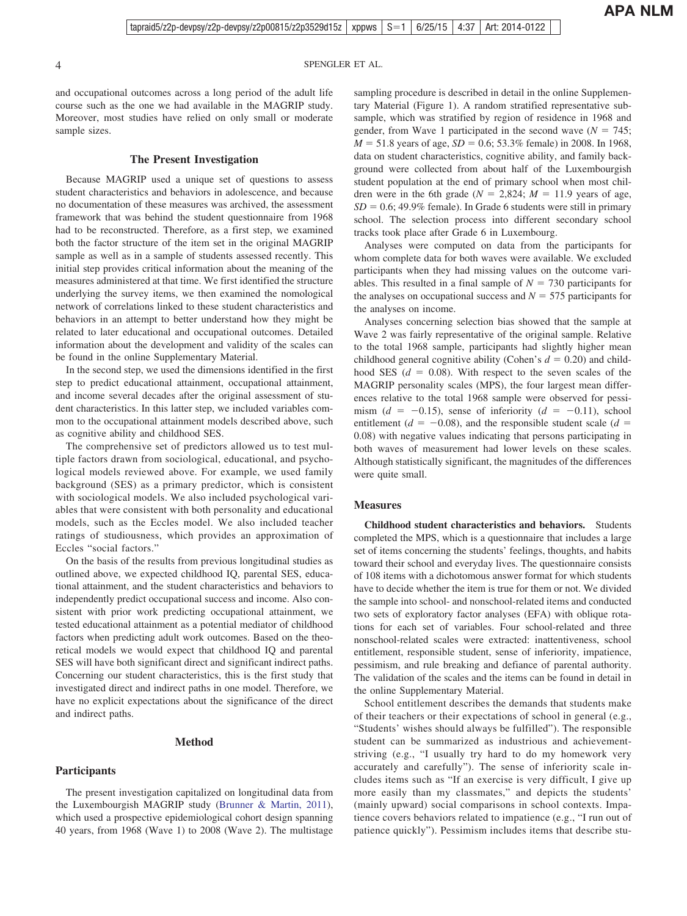and occupational outcomes across a long period of the adult life course such as the one we had available in the MAGRIP study. Moreover, most studies have relied on only small or moderate sample sizes.

### **The Present Investigation**

Because MAGRIP used a unique set of questions to assess student characteristics and behaviors in adolescence, and because no documentation of these measures was archived, the assessment framework that was behind the student questionnaire from 1968 had to be reconstructed. Therefore, as a first step, we examined both the factor structure of the item set in the original MAGRIP sample as well as in a sample of students assessed recently. This initial step provides critical information about the meaning of the measures administered at that time. We first identified the structure underlying the survey items, we then examined the nomological network of correlations linked to these student characteristics and behaviors in an attempt to better understand how they might be related to later educational and occupational outcomes. Detailed information about the development and validity of the scales can be found in the online Supplementary Material.

In the second step, we used the dimensions identified in the first step to predict educational attainment, occupational attainment, and income several decades after the original assessment of student characteristics. In this latter step, we included variables common to the occupational attainment models described above, such as cognitive ability and childhood SES.

The comprehensive set of predictors allowed us to test multiple factors drawn from sociological, educational, and psychological models reviewed above. For example, we used family background (SES) as a primary predictor, which is consistent with sociological models. We also included psychological variables that were consistent with both personality and educational models, such as the Eccles model. We also included teacher ratings of studiousness, which provides an approximation of Eccles "social factors."

On the basis of the results from previous longitudinal studies as outlined above, we expected childhood IQ, parental SES, educational attainment, and the student characteristics and behaviors to independently predict occupational success and income. Also consistent with prior work predicting occupational attainment, we tested educational attainment as a potential mediator of childhood factors when predicting adult work outcomes. Based on the theoretical models we would expect that childhood IQ and parental SES will have both significant direct and significant indirect paths. Concerning our student characteristics, this is the first study that investigated direct and indirect paths in one model. Therefore, we have no explicit expectations about the significance of the direct and indirect paths.

### **Method**

### **Participants**

The present investigation capitalized on longitudinal data from the Luxembourgish MAGRIP study [\(Brunner & Martin, 2011\)](#page-10-15), which used a prospective epidemiological cohort design spanning 40 years, from 1968 (Wave 1) to 2008 (Wave 2). The multistage sampling procedure is described in detail in the online Supplementary Material (Figure 1). A random stratified representative subsample, which was stratified by region of residence in 1968 and gender, from Wave 1 participated in the second wave  $(N = 745)$ ;  $M = 51.8$  years of age,  $SD = 0.6$ ; 53.3% female) in 2008. In 1968, data on student characteristics, cognitive ability, and family background were collected from about half of the Luxembourgish student population at the end of primary school when most children were in the 6th grade ( $N = 2,824$ ;  $M = 11.9$  years of age,  $SD = 0.6$ ; 49.9% female). In Grade 6 students were still in primary school. The selection process into different secondary school tracks took place after Grade 6 in Luxembourg.

Analyses were computed on data from the participants for whom complete data for both waves were available. We excluded participants when they had missing values on the outcome variables. This resulted in a final sample of  $N = 730$  participants for the analyses on occupational success and  $N = 575$  participants for the analyses on income.

Analyses concerning selection bias showed that the sample at Wave 2 was fairly representative of the original sample. Relative to the total 1968 sample, participants had slightly higher mean childhood general cognitive ability (Cohen's  $d = 0.20$ ) and childhood SES  $(d = 0.08)$ . With respect to the seven scales of the MAGRIP personality scales (MPS), the four largest mean differences relative to the total 1968 sample were observed for pessimism  $(d = -0.15)$ , sense of inferiority  $(d = -0.11)$ , school entitlement ( $d = -0.08$ ), and the responsible student scale ( $d =$ 0.08) with negative values indicating that persons participating in both waves of measurement had lower levels on these scales. Although statistically significant, the magnitudes of the differences were quite small.

### **Measures**

**Childhood student characteristics and behaviors.** Students completed the MPS, which is a questionnaire that includes a large set of items concerning the students' feelings, thoughts, and habits toward their school and everyday lives. The questionnaire consists of 108 items with a dichotomous answer format for which students have to decide whether the item is true for them or not. We divided the sample into school- and nonschool-related items and conducted two sets of exploratory factor analyses (EFA) with oblique rotations for each set of variables. Four school-related and three nonschool-related scales were extracted: inattentiveness, school entitlement, responsible student, sense of inferiority, impatience, pessimism, and rule breaking and defiance of parental authority. The validation of the scales and the items can be found in detail in the online Supplementary Material.

School entitlement describes the demands that students make of their teachers or their expectations of school in general (e.g., "Students' wishes should always be fulfilled"). The responsible student can be summarized as industrious and achievementstriving (e.g., "I usually try hard to do my homework very accurately and carefully"). The sense of inferiority scale includes items such as "If an exercise is very difficult, I give up more easily than my classmates," and depicts the students' (mainly upward) social comparisons in school contexts. Impatience covers behaviors related to impatience (e.g., "I run out of patience quickly"). Pessimism includes items that describe stu-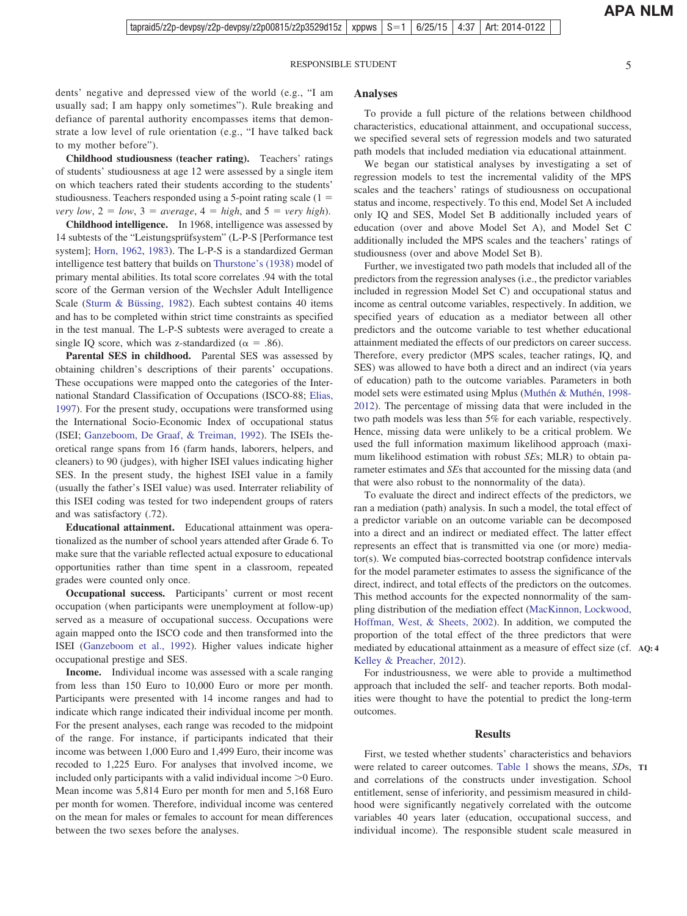dents' negative and depressed view of the world (e.g., "I am usually sad; I am happy only sometimes"). Rule breaking and defiance of parental authority encompasses items that demonstrate a low level of rule orientation (e.g., "I have talked back to my mother before").

**Childhood studiousness (teacher rating).** Teachers' ratings of students' studiousness at age 12 were assessed by a single item on which teachers rated their students according to the students' studiousness. Teachers responded using a 5-point rating scale  $(1 =$ *very low*,  $2 = \text{low}, 3 = \text{average}, 4 = \text{high}, \text{and } 5 = \text{very high}.$ 

**Childhood intelligence.** In 1968, intelligence was assessed by 14 subtests of the "Leistungsprüfsystem" (L-P-S [Performance test system]; [Horn, 1962,](#page-11-15) [1983\)](#page-11-16). The L-P-S is a standardized German intelligence test battery that builds on [Thurstone's \(1938\)](#page-11-17) model of primary mental abilities. Its total score correlates .94 with the total score of the German version of the Wechsler Adult Intelligence Scale [\(Sturm & Büssing, 1982\)](#page-11-18). Each subtest contains 40 items and has to be completed within strict time constraints as specified in the test manual. The L-P-S subtests were averaged to create a single IQ score, which was z-standardized ( $\alpha = .86$ ).

**Parental SES in childhood.** Parental SES was assessed by obtaining children's descriptions of their parents' occupations. These occupations were mapped onto the categories of the International Standard Classification of Occupations (ISCO-88; [Elias,](#page-10-16) [1997\)](#page-10-16). For the present study, occupations were transformed using the International Socio-Economic Index of occupational status (ISEI; [Ganzeboom, De Graaf, & Treiman, 1992\)](#page-10-17). The ISEIs theoretical range spans from 16 (farm hands, laborers, helpers, and cleaners) to 90 (judges), with higher ISEI values indicating higher SES. In the present study, the highest ISEI value in a family (usually the father's ISEI value) was used. Interrater reliability of this ISEI coding was tested for two independent groups of raters and was satisfactory (.72).

**Educational attainment.** Educational attainment was operationalized as the number of school years attended after Grade 6. To make sure that the variable reflected actual exposure to educational opportunities rather than time spent in a classroom, repeated grades were counted only once.

**Occupational success.** Participants' current or most recent occupation (when participants were unemployment at follow-up) served as a measure of occupational success. Occupations were again mapped onto the ISCO code and then transformed into the ISEI [\(Ganzeboom et al., 1992\)](#page-10-17). Higher values indicate higher occupational prestige and SES.

**Income.** Individual income was assessed with a scale ranging from less than 150 Euro to 10,000 Euro or more per month. Participants were presented with 14 income ranges and had to indicate which range indicated their individual income per month. For the present analyses, each range was recoded to the midpoint of the range. For instance, if participants indicated that their income was between 1,000 Euro and 1,499 Euro, their income was recoded to 1,225 Euro. For analyses that involved income, we included only participants with a valid individual income  $>0$  Euro. Mean income was 5,814 Euro per month for men and 5,168 Euro per month for women. Therefore, individual income was centered on the mean for males or females to account for mean differences between the two sexes before the analyses.

### **Analyses**

To provide a full picture of the relations between childhood characteristics, educational attainment, and occupational success, we specified several sets of regression models and two saturated path models that included mediation via educational attainment.

We began our statistical analyses by investigating a set of regression models to test the incremental validity of the MPS scales and the teachers' ratings of studiousness on occupational status and income, respectively. To this end, Model Set A included only IQ and SES, Model Set B additionally included years of education (over and above Model Set A), and Model Set C additionally included the MPS scales and the teachers' ratings of studiousness (over and above Model Set B).

Further, we investigated two path models that included all of the predictors from the regression analyses (i.e., the predictor variables included in regression Model Set C) and occupational status and income as central outcome variables, respectively. In addition, we specified years of education as a mediator between all other predictors and the outcome variable to test whether educational attainment mediated the effects of our predictors on career success. Therefore, every predictor (MPS scales, teacher ratings, IQ, and SES) was allowed to have both a direct and an indirect (via years of education) path to the outcome variables. Parameters in both model sets were estimated using Mplus [\(Muthén & Muthén, 1998-](#page-11-19) [2012\)](#page-11-19). The percentage of missing data that were included in the two path models was less than 5% for each variable, respectively. Hence, missing data were unlikely to be a critical problem. We used the full information maximum likelihood approach (maximum likelihood estimation with robust *SE*s; MLR) to obtain parameter estimates and *SE*s that accounted for the missing data (and that were also robust to the nonnormality of the data).

To evaluate the direct and indirect effects of the predictors, we ran a mediation (path) analysis. In such a model, the total effect of a predictor variable on an outcome variable can be decomposed into a direct and an indirect or mediated effect. The latter effect represents an effect that is transmitted via one (or more) mediator(s). We computed bias-corrected bootstrap confidence intervals for the model parameter estimates to assess the significance of the direct, indirect, and total effects of the predictors on the outcomes. This method accounts for the expected nonnormality of the sampling distribution of the mediation effect [\(MacKinnon, Lockwood,](#page-11-20) [Hoffman, West, & Sheets, 2002\)](#page-11-20). In addition, we computed the proportion of the total effect of the three predictors that were mediated by educational attainment as a measure of effect size (cf. **AQ: 4** [Kelley & Preacher, 2012\)](#page-11-21).

For industriousness, we were able to provide a multimethod approach that included the self- and teacher reports. Both modalities were thought to have the potential to predict the long-term outcomes.

### **Results**

First, we tested whether students' characteristics and behaviors were related to career outcomes. [Table 1](#page-5-0) shows the means, *SD*s, **T1** and correlations of the constructs under investigation. School entitlement, sense of inferiority, and pessimism measured in childhood were significantly negatively correlated with the outcome variables 40 years later (education, occupational success, and individual income). The responsible student scale measured in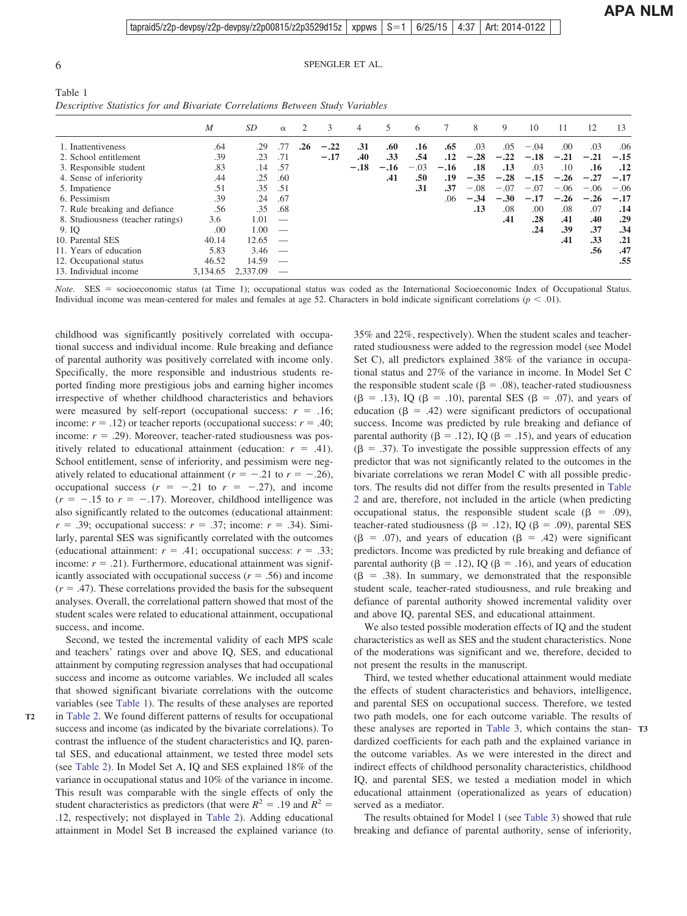**T2**

| 6 | SPENGLER ET AL. |
|---|-----------------|
|   |                 |

<span id="page-5-0"></span>

| Table 1 |  |                                                                               |  |  |
|---------|--|-------------------------------------------------------------------------------|--|--|
|         |  | Descriptive Statistics for and Bivariate Correlations Between Study Variables |  |  |

|                                   | $\boldsymbol{M}$ | SD       | $\alpha$ | $\overline{c}$ | 3      | 4      | 5.     | 6                | $\tau$ | 8      | 9      | 10     | 11     | 12     | 13     |
|-----------------------------------|------------------|----------|----------|----------------|--------|--------|--------|------------------|--------|--------|--------|--------|--------|--------|--------|
| 1. Inattentiveness                | .64              | .29      | .77      | .26            | $-.22$ | .31    | .60    | .16              | .65    | .03    | .05    | $-.04$ | .00    | .03    | .06    |
| 2. School entitlement             | .39              | .23      | .71      |                | $-.17$ | .40    | .33    | .54              | .12    | $-.28$ | $-.22$ | $-.18$ | $-.21$ | $-.21$ | $-.15$ |
| 3. Responsible student            | .83              | .14      | .57      |                |        | $-.18$ | $-.16$ | $-.03$           | $-.16$ | .18    | .13    | .03    | .10    | .16    | .12    |
| 4. Sense of inferiority           | .44              | .25      | .60      |                |        |        | .41    | .50 <sub>1</sub> | .19    | $-.35$ | $-.28$ | $-.15$ | $-.26$ | $-.27$ | $-.17$ |
| 5. Impatience                     | .51              | .35      | .51      |                |        |        |        | .31              | .37    | $-.08$ | $-.07$ | $-.07$ | $-.06$ | $-.06$ | $-.06$ |
| 6. Pessimism                      | .39              | .24      | .67      |                |        |        |        |                  | .06    | $-.34$ | $-.30$ | $-.17$ | $-.26$ | $-.26$ | $-.17$ |
| 7. Rule breaking and defiance     | .56              | .35      | .68      |                |        |        |        |                  |        | .13    | .08    | .00    | .08    | .07    | .14    |
| 8. Studiousness (teacher ratings) | 3.6              | 1.01     |          |                |        |        |        |                  |        |        | .41    | .28    | .41    | .40    | .29    |
| 9. IQ                             | .00              | 1.00     |          |                |        |        |        |                  |        |        |        | .24    | .39    | .37    | .34    |
| 10. Parental SES                  | 40.14            | 12.65    |          |                |        |        |        |                  |        |        |        |        | .41    | .33    | .21    |
| 11. Years of education            | 5.83             | 3.46     |          |                |        |        |        |                  |        |        |        |        |        | .56    | .47    |
| 12. Occupational status           | 46.52            | 14.59    |          |                |        |        |        |                  |        |        |        |        |        |        | .55    |
| 13. Individual income             | 3,134.65         | 2.337.09 |          |                |        |        |        |                  |        |        |        |        |        |        |        |

Note. SES = socioeconomic status (at Time 1); occupational status was coded as the International Socioeconomic Index of Occupational Status. Individual income was mean-centered for males and females at age 52. Characters in bold indicate significant correlations  $(p < .01)$ .

childhood was significantly positively correlated with occupational success and individual income. Rule breaking and defiance of parental authority was positively correlated with income only. Specifically, the more responsible and industrious students reported finding more prestigious jobs and earning higher incomes irrespective of whether childhood characteristics and behaviors were measured by self-report (occupational success:  $r = .16$ ; income:  $r = .12$ ) or teacher reports (occupational success:  $r = .40$ ; income:  $r = .29$ ). Moreover, teacher-rated studiousness was positively related to educational attainment (education:  $r = .41$ ). School entitlement, sense of inferiority, and pessimism were negatively related to educational attainment ( $r = -.21$  to  $r = -.26$ ), occupational success  $(r = -.21$  to  $r = -.27)$ , and income  $(r = -.15$  to  $r = -.17$ ). Moreover, childhood intelligence was also significantly related to the outcomes (educational attainment:  $r = .39$ ; occupational success:  $r = .37$ ; income:  $r = .34$ ). Similarly, parental SES was significantly correlated with the outcomes (educational attainment:  $r = .41$ ; occupational success:  $r = .33$ ; income:  $r = .21$ ). Furthermore, educational attainment was significantly associated with occupational success  $(r = .56)$  and income  $(r = .47)$ . These correlations provided the basis for the subsequent analyses. Overall, the correlational pattern showed that most of the student scales were related to educational attainment, occupational success, and income.

Second, we tested the incremental validity of each MPS scale and teachers' ratings over and above IQ, SES, and educational attainment by computing regression analyses that had occupational success and income as outcome variables. We included all scales that showed significant bivariate correlations with the outcome variables (see [Table 1\)](#page-5-0). The results of these analyses are reported in [Table 2.](#page-6-0) We found different patterns of results for occupational success and income (as indicated by the bivariate correlations). To contrast the influence of the student characteristics and IQ, parental SES, and educational attainment, we tested three model sets (see [Table 2\)](#page-6-0). In Model Set A, IQ and SES explained 18% of the variance in occupational status and 10% of the variance in income. This result was comparable with the single effects of only the student characteristics as predictors (that were  $R^2 = .19$  and  $R^2 =$ .12, respectively; not displayed in [Table 2\)](#page-6-0). Adding educational attainment in Model Set B increased the explained variance (to 35% and 22%, respectively). When the student scales and teacherrated studiousness were added to the regression model (see Model Set C), all predictors explained 38% of the variance in occupational status and 27% of the variance in income. In Model Set C the responsible student scale ( $\beta = .08$ ), teacher-rated studiousness  $(\beta = .13)$ , IQ  $(\beta = .10)$ , parental SES  $(\beta = .07)$ , and years of education ( $\beta$  = .42) were significant predictors of occupational success. Income was predicted by rule breaking and defiance of parental authority ( $\beta = .12$ ), IQ ( $\beta = .15$ ), and years of education  $(\beta = .37)$ . To investigate the possible suppression effects of any predictor that was not significantly related to the outcomes in the bivariate correlations we reran Model C with all possible predictors. The results did not differ from the results presented in [Table](#page-6-0) [2](#page-6-0) and are, therefore, not included in the article (when predicting occupational status, the responsible student scale ( $\beta = .09$ ), teacher-rated studiousness ( $\beta = .12$ ), IQ ( $\beta = .09$ ), parental SES  $(\beta = .07)$ , and years of education  $(\beta = .42)$  were significant predictors. Income was predicted by rule breaking and defiance of parental authority ( $\beta = .12$ ), IQ ( $\beta = .16$ ), and years of education  $(\beta = .38)$ . In summary, we demonstrated that the responsible student scale, teacher-rated studiousness, and rule breaking and defiance of parental authority showed incremental validity over and above IQ, parental SES, and educational attainment.

We also tested possible moderation effects of IQ and the student characteristics as well as SES and the student characteristics. None of the moderations was significant and we, therefore, decided to not present the results in the manuscript.

Third, we tested whether educational attainment would mediate the effects of student characteristics and behaviors, intelligence, and parental SES on occupational success. Therefore, we tested two path models, one for each outcome variable. The results of these analyses are reported in [Table 3,](#page-6-1) which contains the stan-**T3** dardized coefficients for each path and the explained variance in the outcome variables. As we were interested in the direct and indirect effects of childhood personality characteristics, childhood IQ, and parental SES, we tested a mediation model in which educational attainment (operationalized as years of education) served as a mediator.

The results obtained for Model 1 (see [Table 3\)](#page-6-1) showed that rule breaking and defiance of parental authority, sense of inferiority,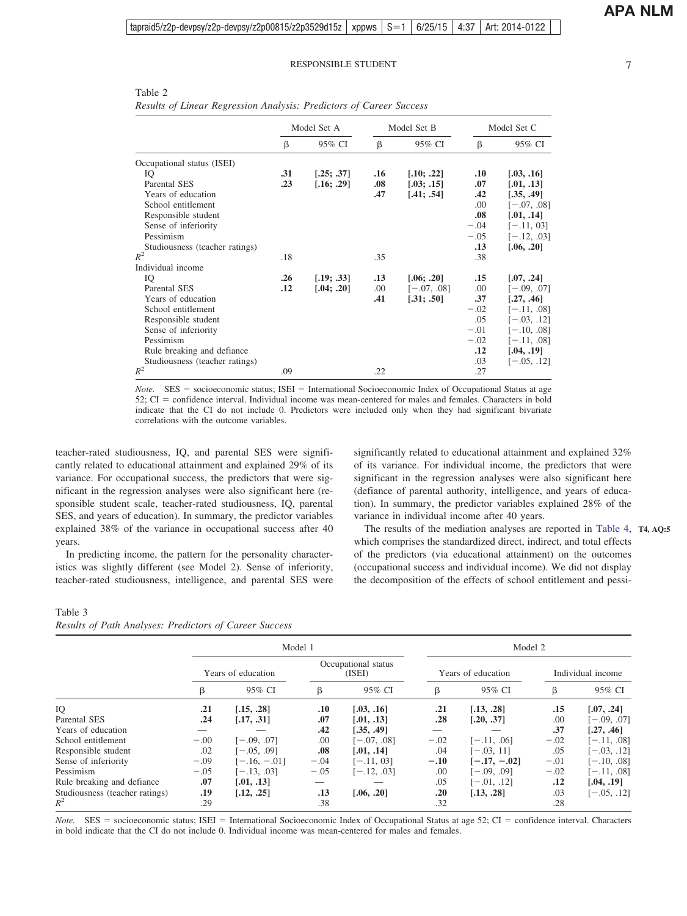| APA NLM |
|---------|
|         |

|                                | Model Set A |            |         | Model Set B   |         | Model Set C   |
|--------------------------------|-------------|------------|---------|---------------|---------|---------------|
|                                | β           | 95% CI     | $\beta$ | 95% CI        | $\beta$ | 95% CI        |
| Occupational status (ISEI)     |             |            |         |               |         |               |
| IQ                             | .31         | [.25; .37] | .16     | [.10; .22]    | .10     | [.03, .16]    |
| Parental SES                   | .23         | [.16; .29] | .08     | [.03; .15]    | .07     | [.01, .13]    |
| Years of education             |             |            | .47     | [.41; .54]    | .42     | [.35, .49]    |
| School entitlement             |             |            |         |               | .00     | $[-.07, .08]$ |
| Responsible student            |             |            |         |               | .08     | [.01, .14]    |
| Sense of inferiority           |             |            |         |               | $-.04$  | $[-.11, 03]$  |
| Pessimism                      |             |            |         |               | $-.05$  | $[-.12, .03]$ |
| Studiousness (teacher ratings) |             |            |         |               | .13     | [.06, .20]    |
| $R^2$                          | .18         |            | .35     |               | .38     |               |
| Individual income              |             |            |         |               |         |               |
| IQ                             | .26         | [.19; .33] | .13     | [.06; .20]    | .15     | [.07, .24]    |
| Parental SES                   | .12         | [.04; .20] | .00     | $[-.07, .08]$ | .00.    | $[-.09, .07]$ |
| Years of education             |             |            | .41     | [.31; .50]    | .37     | [.27, .46]    |
| School entitlement             |             |            |         |               | $-.02$  | $[-.11, .08]$ |
| Responsible student            |             |            |         |               | .05     | $[-.03, .12]$ |
| Sense of inferiority           |             |            |         |               | $-.01$  | $[-.10, .08]$ |
| Pessimism                      |             |            |         |               | $-.02$  | $[-.11, .08]$ |
| Rule breaking and defiance     |             |            |         |               | .12     | [.04, .19]    |
| Studiousness (teacher ratings) |             |            |         |               | .03     | $[-.05, .12]$ |
| $R^2$                          | .09         |            | .22     |               | .27     |               |

### <span id="page-6-0"></span>Table 2 *Results of Linear Regression Analysis: Predictors of Career Success*

*Note.* SES = socioeconomic status; ISEI = International Socioeconomic Index of Occupational Status at age 52; CI = confidence interval. Individual income was mean-centered for males and females. Characters in bold indicate that the CI do not include 0. Predictors were included only when they had significant bivariate correlations with the outcome variables.

teacher-rated studiousness, IQ, and parental SES were significantly related to educational attainment and explained 29% of its variance. For occupational success, the predictors that were significant in the regression analyses were also significant here (responsible student scale, teacher-rated studiousness, IQ, parental SES, and years of education). In summary, the predictor variables explained 38% of the variance in occupational success after 40 years.

In predicting income, the pattern for the personality characteristics was slightly different (see Model 2). Sense of inferiority, teacher-rated studiousness, intelligence, and parental SES were

### <span id="page-6-1"></span>Table 3 *Results of Path Analyses: Predictors of Career Success*

significantly related to educational attainment and explained 32% of its variance. For individual income, the predictors that were significant in the regression analyses were also significant here (defiance of parental authority, intelligence, and years of education). In summary, the predictor variables explained 28% of the variance in individual income after 40 years.

The results of the mediation analyses are reported in [Table 4,](#page-7-0) **T4, AQ:5** which comprises the standardized direct, indirect, and total effects of the predictors (via educational attainment) on the outcomes (occupational success and individual income). We did not display the decomposition of the effects of school entitlement and pessi-

|                                |                    |                | Model 1                       |               |        | Model 2            |                   |               |  |  |  |
|--------------------------------|--------------------|----------------|-------------------------------|---------------|--------|--------------------|-------------------|---------------|--|--|--|
|                                | Years of education |                | Occupational status<br>(ISEI) |               |        | Years of education | Individual income |               |  |  |  |
|                                | β                  | 95% CI         | β                             | 95% CI        | β      | 95% CI             | β                 | 95% CI        |  |  |  |
| IQ                             | .21                | [.15, .28]     | $.10\,$                       | [.03, .16]    | .21    | [.13, .28]         | .15               | [.07, .24]    |  |  |  |
| Parental SES                   | .24                | [.17, .31]     | .07                           | [.01, .13]    | .28    | [.20, .37]         | .00.              | $[-.09, .07]$ |  |  |  |
| Years of education             |                    |                | .42                           | [.35, .49]    |        |                    | .37               | [.27, .46]    |  |  |  |
| School entitlement             | $-.00$             | $[-.09, .07]$  | .00                           | $[-.07, .08]$ | $-.02$ | $[-.11, .06]$      | $-.02$            | $[-.11, .08]$ |  |  |  |
| Responsible student            | .02                | $[-.05, .09]$  | .08                           | [.01, .14]    | .04    | $[-.03, 11]$       | .05               | $[-.03, .12]$ |  |  |  |
| Sense of inferiority           | $-.09$             | $[-.16, -.01]$ | $-.04$                        | $[-.11, 03]$  | $-.10$ | $[-.17, -.02]$     | $-.01$            | $[-.10, .08]$ |  |  |  |
| Pessimism                      | $-.05$             | $[-.13, .03]$  | $-.05$                        | $[-.12, .03]$ | .00    | $[-.09, .09]$      | $-.02$            | $[-.11, .08]$ |  |  |  |
| Rule breaking and defiance     | .07                | [.01, .13]     |                               |               | .05    | $[-.01, .12]$      | .12               | [.04, .19]    |  |  |  |
| Studiousness (teacher ratings) | .19                | [.12, .25]     | .13                           | [.06, .20]    | .20    | [.13, .28]         | .03               | $[-.05, .12]$ |  |  |  |
| $R^2$                          | .29                |                | .38                           |               | .32    |                    | .28               |               |  |  |  |

Note. SES = socioeconomic status; ISEI = International Socioeconomic Index of Occupational Status at age 52; CI = confidence interval. Characters in bold indicate that the CI do not include 0. Individual income was mean-centered for males and females.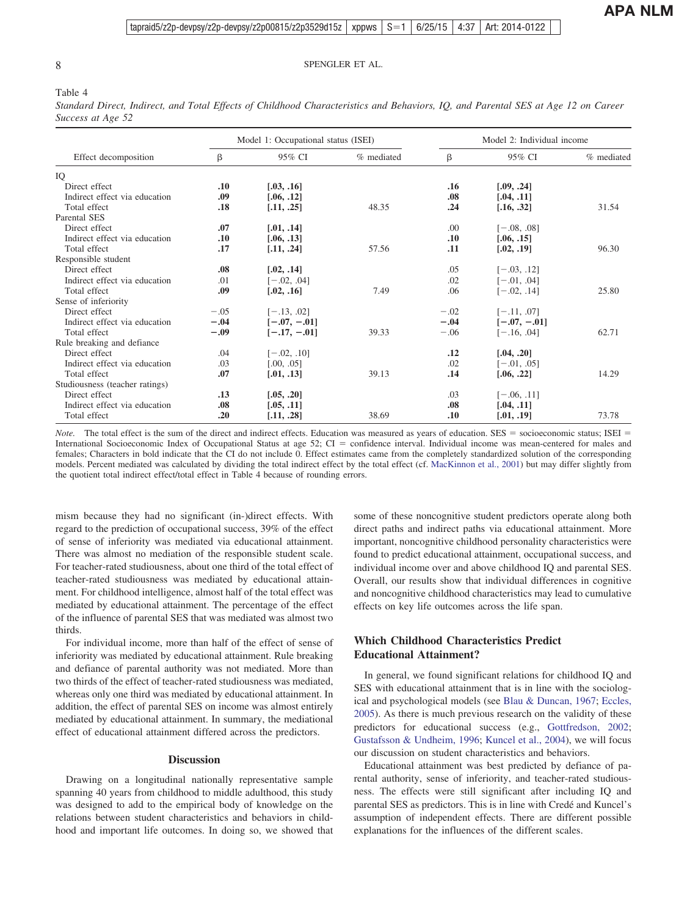tapraid5/z2p-devpsy/z2p-devpsy/z2p00815/z2p3529d15z | xppws  $\mid S=1$ 6/25/15 | 4:37 | Art: 2014-0122

### 8 SPENGLER ET AL.

<span id="page-7-0"></span>Table 4

*Standard Direct, Indirect, and Total Effects of Childhood Characteristics and Behaviors, IQ, and Parental SES at Age 12 on Career Success at Age 52*

|                                |        | Model 1: Occupational status (ISEI) |            | Model 2: Individual income |                |            |  |
|--------------------------------|--------|-------------------------------------|------------|----------------------------|----------------|------------|--|
| Effect decomposition           | β      | 95% CI                              | % mediated | β                          | 95% CI         | % mediated |  |
| IO                             |        |                                     |            |                            |                |            |  |
| Direct effect                  | .10    | [.03, .16]                          |            | .16                        | [.09, .24]     |            |  |
| Indirect effect via education  | .09    | [.06, .12]                          |            | .08                        | [.04, .11]     |            |  |
| Total effect                   | .18    | [.11, .25]                          | 48.35      | .24                        | [.16, .32]     | 31.54      |  |
| Parental SES                   |        |                                     |            |                            |                |            |  |
| Direct effect                  | .07    | [.01, .14]                          |            | .00                        | $[-.08, .08]$  |            |  |
| Indirect effect via education  | .10    | [.06, .13]                          |            | .10                        | [.06, .15]     |            |  |
| Total effect                   | .17    | [.11, .24]                          | 57.56      | .11                        | [.02, .19]     | 96.30      |  |
| Responsible student            |        |                                     |            |                            |                |            |  |
| Direct effect                  | .08    | [.02, .14]                          |            | .05                        | $[-.03, .12]$  |            |  |
| Indirect effect via education  | .01    | $[-.02, .04]$                       |            | .02                        | $[-.01, .04]$  |            |  |
| Total effect                   | .09    | [.02, .16]                          | 7.49       | .06                        | $[-.02, .14]$  | 25.80      |  |
| Sense of inferiority           |        |                                     |            |                            |                |            |  |
| Direct effect                  | $-.05$ | $[-.13, .02]$                       |            | $-.02$                     | $[-.11, .07]$  |            |  |
| Indirect effect via education  | $-.04$ | $[-.07, -.01]$                      |            | $-.04$                     | $[-.07, -.01]$ |            |  |
| Total effect                   | $-.09$ | $[-.17, -.01]$                      | 39.33      | $-.06$                     | $[-.16, .04]$  | 62.71      |  |
| Rule breaking and defiance     |        |                                     |            |                            |                |            |  |
| Direct effect                  | .04    | $[-.02, .10]$                       |            | .12                        | [.04, .20]     |            |  |
| Indirect effect via education  | .03    | [.00, .05]                          |            | .02                        | $[-.01, .05]$  |            |  |
| Total effect                   | .07    | [.01, .13]                          | 39.13      | .14                        | [.06, .22]     | 14.29      |  |
| Studiousness (teacher ratings) |        |                                     |            |                            |                |            |  |
| Direct effect                  | .13    | [.05, .20]                          |            | .03                        | $[-.06, .11]$  |            |  |
| Indirect effect via education  | .08    | [.05, .11]                          |            | .08                        | [.04, .11]     |            |  |
| Total effect                   | .20    | [.11, .28]                          | 38.69      | .10                        | [.01, .19]     | 73.78      |  |

*Note*. The total effect is the sum of the direct and indirect effects. Education was measured as years of education. SES = socioeconomic status; ISEI = International Socioeconomic Index of Occupational Status at age 52; CI = confidence interval. Individual income was mean-centered for males and females; Characters in bold indicate that the CI do not include 0. Effect estimates came from the completely standardized solution of the corresponding models. Percent mediated was calculated by dividing the total indirect effect by the total effect (cf. [MacKinnon et al., 2001\)](#page-11-20) but may differ slightly from the quotient total indirect effect/total effect in Table 4 because of rounding errors.

mism because they had no significant (in-)direct effects. With regard to the prediction of occupational success, 39% of the effect of sense of inferiority was mediated via educational attainment. There was almost no mediation of the responsible student scale. For teacher-rated studiousness, about one third of the total effect of teacher-rated studiousness was mediated by educational attainment. For childhood intelligence, almost half of the total effect was mediated by educational attainment. The percentage of the effect of the influence of parental SES that was mediated was almost two thirds.

For individual income, more than half of the effect of sense of inferiority was mediated by educational attainment. Rule breaking and defiance of parental authority was not mediated. More than two thirds of the effect of teacher-rated studiousness was mediated, whereas only one third was mediated by educational attainment. In addition, the effect of parental SES on income was almost entirely mediated by educational attainment. In summary, the mediational effect of educational attainment differed across the predictors.

### **Discussion**

Drawing on a longitudinal nationally representative sample spanning 40 years from childhood to middle adulthood, this study was designed to add to the empirical body of knowledge on the relations between student characteristics and behaviors in childhood and important life outcomes. In doing so, we showed that some of these noncognitive student predictors operate along both direct paths and indirect paths via educational attainment. More important, noncognitive childhood personality characteristics were found to predict educational attainment, occupational success, and individual income over and above childhood IQ and parental SES. Overall, our results show that individual differences in cognitive and noncognitive childhood characteristics may lead to cumulative effects on key life outcomes across the life span.

# **Which Childhood Characteristics Predict Educational Attainment?**

In general, we found significant relations for childhood IQ and SES with educational attainment that is in line with the sociological and psychological models (see [Blau & Duncan, 1967;](#page-10-3) [Eccles,](#page-10-7) [2005\)](#page-10-7). As there is much previous research on the validity of these predictors for educational success (e.g., [Gottfredson, 2002;](#page-10-12) [Gustafsson & Undheim, 1996;](#page-11-22) [Kuncel et al., 2004\)](#page-11-7), we will focus our discussion on student characteristics and behaviors.

Educational attainment was best predicted by defiance of parental authority, sense of inferiority, and teacher-rated studiousness. The effects were still significant after including IQ and parental SES as predictors. This is in line with Credé and Kuncel's assumption of independent effects. There are different possible explanations for the influences of the different scales.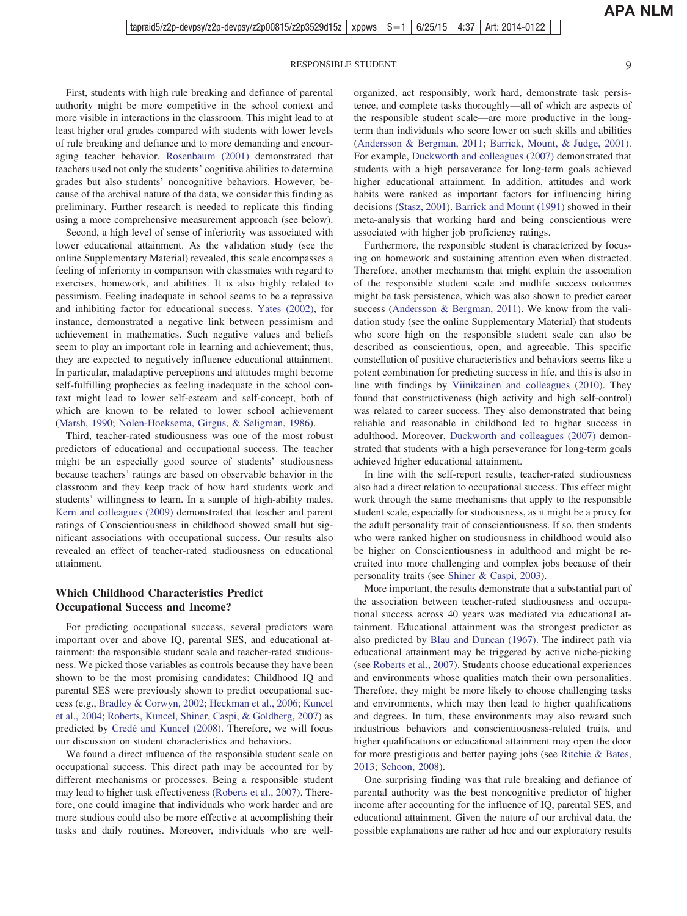**APA NLM**

First, students with high rule breaking and defiance of parental authority might be more competitive in the school context and more visible in interactions in the classroom. This might lead to at least higher oral grades compared with students with lower levels of rule breaking and defiance and to more demanding and encouraging teacher behavior. [Rosenbaum \(2001\)](#page-11-23) demonstrated that teachers used not only the students' cognitive abilities to determine grades but also students' noncognitive behaviors. However, because of the archival nature of the data, we consider this finding as preliminary. Further research is needed to replicate this finding using a more comprehensive measurement approach (see below).

Second, a high level of sense of inferiority was associated with lower educational attainment. As the validation study (see the online Supplementary Material) revealed, this scale encompasses a feeling of inferiority in comparison with classmates with regard to exercises, homework, and abilities. It is also highly related to pessimism. Feeling inadequate in school seems to be a repressive and inhibiting factor for educational success. [Yates \(2002\),](#page-11-24) for instance, demonstrated a negative link between pessimism and achievement in mathematics. Such negative values and beliefs seem to play an important role in learning and achievement; thus, they are expected to negatively influence educational attainment. In particular, maladaptive perceptions and attitudes might become self-fulfilling prophecies as feeling inadequate in the school context might lead to lower self-esteem and self-concept, both of which are known to be related to lower school achievement [\(Marsh, 1990;](#page-11-25) [Nolen-Hoeksema, Girgus, & Seligman, 1986\)](#page-11-26).

Third, teacher-rated studiousness was one of the most robust predictors of educational and occupational success. The teacher might be an especially good source of students' studiousness because teachers' ratings are based on observable behavior in the classroom and they keep track of how hard students work and students' willingness to learn. In a sample of high-ability males, [Kern and colleagues \(2009\)](#page-11-27) demonstrated that teacher and parent ratings of Conscientiousness in childhood showed small but significant associations with occupational success. Our results also revealed an effect of teacher-rated studiousness on educational attainment.

# **Which Childhood Characteristics Predict Occupational Success and Income?**

For predicting occupational success, several predictors were important over and above IQ, parental SES, and educational attainment: the responsible student scale and teacher-rated studiousness. We picked those variables as controls because they have been shown to be the most promising candidates: Childhood IQ and parental SES were previously shown to predict occupational success (e.g., [Bradley & Corwyn, 2002;](#page-10-13) [Heckman et al., 2006;](#page-11-9) [Kuncel](#page-11-7) [et al., 2004;](#page-11-7) [Roberts, Kuncel, Shiner, Caspi, & Goldberg, 2007\)](#page-11-2) as predicted by [Credé and Kuncel \(2008\).](#page-10-6) Therefore, we will focus our discussion on student characteristics and behaviors.

We found a direct influence of the responsible student scale on occupational success. This direct path may be accounted for by different mechanisms or processes. Being a responsible student may lead to higher task effectiveness [\(Roberts et al., 2007\)](#page-11-2). Therefore, one could imagine that individuals who work harder and are more studious could also be more effective at accomplishing their tasks and daily routines. Moreover, individuals who are wellorganized, act responsibly, work hard, demonstrate task persistence, and complete tasks thoroughly—all of which are aspects of the responsible student scale—are more productive in the longterm than individuals who score lower on such skills and abilities [\(Andersson & Bergman, 2011;](#page-10-18) [Barrick, Mount, & Judge, 2001\)](#page-10-19). For example, [Duckworth and colleagues \(2007\)](#page-10-20) demonstrated that students with a high perseverance for long-term goals achieved higher educational attainment. In addition, attitudes and work habits were ranked as important factors for influencing hiring decisions [\(Stasz, 2001\)](#page-11-28). [Barrick and Mount \(1991\)](#page-10-21) showed in their meta-analysis that working hard and being conscientious were associated with higher job proficiency ratings.

Furthermore, the responsible student is characterized by focusing on homework and sustaining attention even when distracted. Therefore, another mechanism that might explain the association of the responsible student scale and midlife success outcomes might be task persistence, which was also shown to predict career success [\(Andersson & Bergman, 2011\)](#page-10-18). We know from the validation study (see the online Supplementary Material) that students who score high on the responsible student scale can also be described as conscientious, open, and agreeable. This specific constellation of positive characteristics and behaviors seems like a potent combination for predicting success in life, and this is also in line with findings by [Viinikainen and colleagues \(2010\).](#page-11-11) They found that constructiveness (high activity and high self-control) was related to career success. They also demonstrated that being reliable and reasonable in childhood led to higher success in adulthood. Moreover, [Duckworth and colleagues \(2007\)](#page-10-20) demonstrated that students with a high perseverance for long-term goals achieved higher educational attainment.

In line with the self-report results, teacher-rated studiousness also had a direct relation to occupational success. This effect might work through the same mechanisms that apply to the responsible student scale, especially for studiousness, as it might be a proxy for the adult personality trait of conscientiousness. If so, then students who were ranked higher on studiousness in childhood would also be higher on Conscientiousness in adulthood and might be recruited into more challenging and complex jobs because of their personality traits (see [Shiner & Caspi, 2003\)](#page-11-29).

More important, the results demonstrate that a substantial part of the association between teacher-rated studiousness and occupational success across 40 years was mediated via educational attainment. Educational attainment was the strongest predictor as also predicted by [Blau and Duncan \(1967\).](#page-10-3) The indirect path via educational attainment may be triggered by active niche-picking (see [Roberts et al., 2007\)](#page-11-2). Students choose educational experiences and environments whose qualities match their own personalities. Therefore, they might be more likely to choose challenging tasks and environments, which may then lead to higher qualifications and degrees. In turn, these environments may also reward such industrious behaviors and conscientiousness-related traits, and higher qualifications or educational attainment may open the door for more prestigious and better paying jobs (see [Ritchie & Bates,](#page-11-30) [2013;](#page-11-30) [Schoon, 2008\)](#page-11-31).

One surprising finding was that rule breaking and defiance of parental authority was the best noncognitive predictor of higher income after accounting for the influence of IQ, parental SES, and educational attainment. Given the nature of our archival data, the possible explanations are rather ad hoc and our exploratory results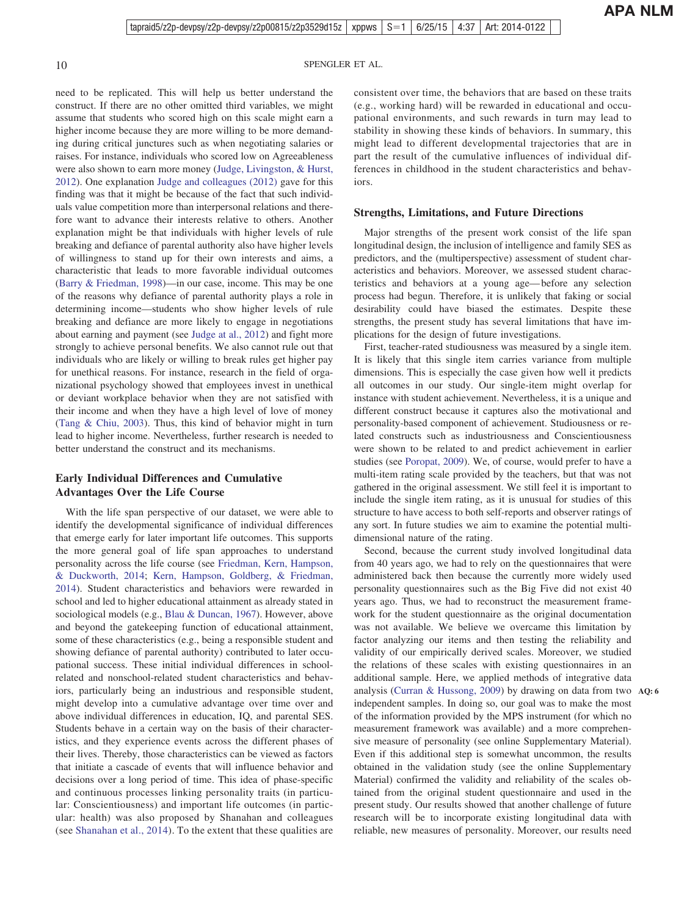need to be replicated. This will help us better understand the construct. If there are no other omitted third variables, we might assume that students who scored high on this scale might earn a higher income because they are more willing to be more demanding during critical junctures such as when negotiating salaries or raises. For instance, individuals who scored low on Agreeableness were also shown to earn more money [\(Judge, Livingston, & Hurst,](#page-11-32) [2012\)](#page-11-32). One explanation [Judge and colleagues \(2012\)](#page-11-32) gave for this finding was that it might be because of the fact that such individuals value competition more than interpersonal relations and therefore want to advance their interests relative to others. Another explanation might be that individuals with higher levels of rule breaking and defiance of parental authority also have higher levels of willingness to stand up for their own interests and aims, a characteristic that leads to more favorable individual outcomes [\(Barry & Friedman, 1998\)](#page-10-22)—in our case, income. This may be one of the reasons why defiance of parental authority plays a role in determining income—students who show higher levels of rule breaking and defiance are more likely to engage in negotiations about earning and payment (see [Judge at al., 2012\)](#page-11-32) and fight more strongly to achieve personal benefits. We also cannot rule out that individuals who are likely or willing to break rules get higher pay for unethical reasons. For instance, research in the field of organizational psychology showed that employees invest in unethical or deviant workplace behavior when they are not satisfied with their income and when they have a high level of love of money [\(Tang & Chiu, 2003\)](#page-11-33). Thus, this kind of behavior might in turn lead to higher income. Nevertheless, further research is needed to better understand the construct and its mechanisms.

### **Early Individual Differences and Cumulative Advantages Over the Life Course**

With the life span perspective of our dataset, we were able to identify the developmental significance of individual differences that emerge early for later important life outcomes. This supports the more general goal of life span approaches to understand personality across the life course (see [Friedman, Kern, Hampson,](#page-10-23) [& Duckworth, 2014;](#page-10-23) [Kern, Hampson, Goldberg, & Friedman,](#page-11-34) [2014\)](#page-11-34). Student characteristics and behaviors were rewarded in school and led to higher educational attainment as already stated in sociological models (e.g., [Blau & Duncan, 1967\)](#page-10-3). However, above and beyond the gatekeeping function of educational attainment, some of these characteristics (e.g., being a responsible student and showing defiance of parental authority) contributed to later occupational success. These initial individual differences in schoolrelated and nonschool-related student characteristics and behaviors, particularly being an industrious and responsible student, might develop into a cumulative advantage over time over and above individual differences in education, IQ, and parental SES. Students behave in a certain way on the basis of their characteristics, and they experience events across the different phases of their lives. Thereby, those characteristics can be viewed as factors that initiate a cascade of events that will influence behavior and decisions over a long period of time. This idea of phase-specific and continuous processes linking personality traits (in particular: Conscientiousness) and important life outcomes (in particular: health) was also proposed by Shanahan and colleagues (see [Shanahan et al., 2014\)](#page-11-3). To the extent that these qualities are consistent over time, the behaviors that are based on these traits (e.g., working hard) will be rewarded in educational and occupational environments, and such rewards in turn may lead to stability in showing these kinds of behaviors. In summary, this might lead to different developmental trajectories that are in part the result of the cumulative influences of individual differences in childhood in the student characteristics and behaviors.

### **Strengths, Limitations, and Future Directions**

Major strengths of the present work consist of the life span longitudinal design, the inclusion of intelligence and family SES as predictors, and the (multiperspective) assessment of student characteristics and behaviors. Moreover, we assessed student characteristics and behaviors at a young age— before any selection process had begun. Therefore, it is unlikely that faking or social desirability could have biased the estimates. Despite these strengths, the present study has several limitations that have implications for the design of future investigations.

First, teacher-rated studiousness was measured by a single item. It is likely that this single item carries variance from multiple dimensions. This is especially the case given how well it predicts all outcomes in our study. Our single-item might overlap for instance with student achievement. Nevertheless, it is a unique and different construct because it captures also the motivational and personality-based component of achievement. Studiousness or related constructs such as industriousness and Conscientiousness were shown to be related to and predict achievement in earlier studies (see [Poropat, 2009\)](#page-11-4). We, of course, would prefer to have a multi-item rating scale provided by the teachers, but that was not gathered in the original assessment. We still feel it is important to include the single item rating, as it is unusual for studies of this structure to have access to both self-reports and observer ratings of any sort. In future studies we aim to examine the potential multidimensional nature of the rating.

Second, because the current study involved longitudinal data from 40 years ago, we had to rely on the questionnaires that were administered back then because the currently more widely used personality questionnaires such as the Big Five did not exist 40 years ago. Thus, we had to reconstruct the measurement framework for the student questionnaire as the original documentation was not available. We believe we overcame this limitation by factor analyzing our items and then testing the reliability and validity of our empirically derived scales. Moreover, we studied the relations of these scales with existing questionnaires in an additional sample. Here, we applied methods of integrative data analysis [\(Curran & Hussong, 2009\)](#page-10-24) by drawing on data from two **AQ: 6** independent samples. In doing so, our goal was to make the most of the information provided by the MPS instrument (for which no measurement framework was available) and a more comprehensive measure of personality (see online Supplementary Material). Even if this additional step is somewhat uncommon, the results obtained in the validation study (see the online Supplementary Material) confirmed the validity and reliability of the scales obtained from the original student questionnaire and used in the present study. Our results showed that another challenge of future research will be to incorporate existing longitudinal data with reliable, new measures of personality. Moreover, our results need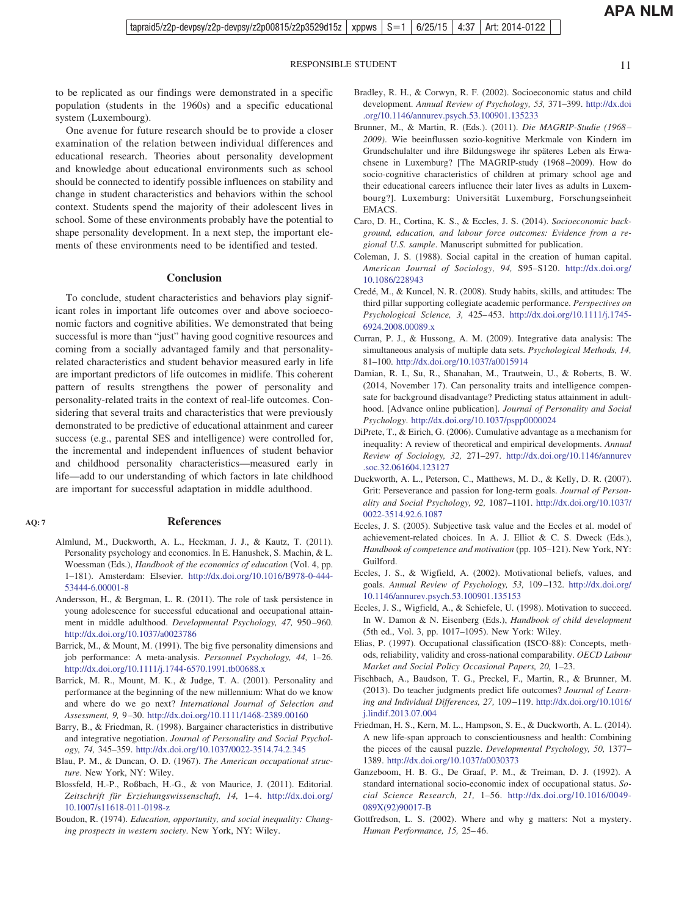**APA NLM**

to be replicated as our findings were demonstrated in a specific population (students in the 1960s) and a specific educational system (Luxembourg).

One avenue for future research should be to provide a closer examination of the relation between individual differences and educational research. Theories about personality development and knowledge about educational environments such as school should be connected to identify possible influences on stability and change in student characteristics and behaviors within the school context. Students spend the majority of their adolescent lives in school. Some of these environments probably have the potential to shape personality development. In a next step, the important elements of these environments need to be identified and tested.

### **Conclusion**

To conclude, student characteristics and behaviors play significant roles in important life outcomes over and above socioeconomic factors and cognitive abilities. We demonstrated that being successful is more than "just" having good cognitive resources and coming from a socially advantaged family and that personalityrelated characteristics and student behavior measured early in life are important predictors of life outcomes in midlife. This coherent pattern of results strengthens the power of personality and personality-related traits in the context of real-life outcomes. Considering that several traits and characteristics that were previously demonstrated to be predictive of educational attainment and career success (e.g., parental SES and intelligence) were controlled for, the incremental and independent influences of student behavior and childhood personality characteristics—measured early in life—add to our understanding of which factors in late childhood are important for successful adaptation in middle adulthood.

# $\frac{1}{2}$ **AQ: 7**

### **References**

- <span id="page-10-10"></span>Almlund, M., Duckworth, A. L., Heckman, J. J., & Kautz, T. (2011). Personality psychology and economics. In E. Hanushek, S. Machin, & L. Woessman (Eds.), *Handbook of the economics of education* (Vol. 4, pp. 1–181). Amsterdam: Elsevier. [http://dx.doi.org/10.1016/B978-0-444-](http://dx.doi.org/10.1016/B978-0-444-53444-6.00001-8) [53444-6.00001-8](http://dx.doi.org/10.1016/B978-0-444-53444-6.00001-8)
- <span id="page-10-18"></span>Andersson, H., & Bergman, L. R. (2011). The role of task persistence in young adolescence for successful educational and occupational attainment in middle adulthood. *Developmental Psychology, 47,* 950 –960. <http://dx.doi.org/10.1037/a0023786>
- <span id="page-10-21"></span>Barrick, M., & Mount, M. (1991). The big five personality dimensions and job performance: A meta-analysis. *Personnel Psychology, 44,* 1–26. <http://dx.doi.org/10.1111/j.1744-6570.1991.tb00688.x>
- <span id="page-10-19"></span>Barrick, M. R., Mount, M. K., & Judge, T. A. (2001). Personality and performance at the beginning of the new millennium: What do we know and where do we go next? *International Journal of Selection and Assessment, 9,* 9 –30. <http://dx.doi.org/10.1111/1468-2389.00160>
- <span id="page-10-22"></span>Barry, B., & Friedman, R. (1998). Bargainer characteristics in distributive and integrative negotiation. *Journal of Personality and Social Psychology, 74,* 345–359. <http://dx.doi.org/10.1037/0022-3514.74.2.345>
- <span id="page-10-3"></span>Blau, P. M., & Duncan, O. D. (1967). *The American occupational structure*. New York, NY: Wiley.
- <span id="page-10-11"></span>Blossfeld, H.-P., Roßbach, H.-G., & von Maurice, J. (2011). Editorial. Zeitschrift für Erziehungswissenschaft, 14, 1-4. [http://dx.doi.org/](http://dx.doi.org/10.1007/s11618-011-0198-z) [10.1007/s11618-011-0198-z](http://dx.doi.org/10.1007/s11618-011-0198-z)
- <span id="page-10-1"></span>Boudon, R. (1974). *Education, opportunity, and social inequality: Changing prospects in western society*. New York, NY: Wiley.
- <span id="page-10-13"></span>Bradley, R. H., & Corwyn, R. F. (2002). Socioeconomic status and child development. *Annual Review of Psychology, 53,* 371–399. [http://dx.doi](http://dx.doi.org/10.1146/annurev.psych.53.100901.135233) [.org/10.1146/annurev.psych.53.100901.135233](http://dx.doi.org/10.1146/annurev.psych.53.100901.135233)
- <span id="page-10-15"></span>Brunner, M., & Martin, R. (Eds.). (2011). *Die MAGRIP-Studie (1968 – 2009)*. Wie beeinflussen sozio-kognitive Merkmale von Kindern im Grundschulalter und ihre Bildungswege ihr späteres Leben als Erwachsene in Luxemburg? [The MAGRIP-study (1968 –2009). How do socio-cognitive characteristics of children at primary school age and their educational careers influence their later lives as adults in Luxembourg?]. Luxemburg: Universität Luxemburg, Forschungseinheit EMACS.
- <span id="page-10-14"></span>Caro, D. H., Cortina, K. S., & Eccles, J. S. (2014). *Socioeconomic background, education, and labour force outcomes: Evidence from a regional U.S. sample*. Manuscript submitted for publication.
- <span id="page-10-2"></span>Coleman, J. S. (1988). Social capital in the creation of human capital. *American Journal of Sociology, 94,* S95–S120. [http://dx.doi.org/](http://dx.doi.org/10.1086/228943) [10.1086/228943](http://dx.doi.org/10.1086/228943)
- <span id="page-10-6"></span>Credé, M., & Kuncel, N. R. (2008). Study habits, skills, and attitudes: The third pillar supporting collegiate academic performance. *Perspectives on Psychological Science, 3,* 425– 453. [http://dx.doi.org/10.1111/j.1745-](http://dx.doi.org/10.1111/j.1745-6924.2008.00089.x) [6924.2008.00089.x](http://dx.doi.org/10.1111/j.1745-6924.2008.00089.x)
- <span id="page-10-24"></span>Curran, P. J., & Hussong, A. M. (2009). Integrative data analysis: The simultaneous analysis of multiple data sets. *Psychological Methods, 14,* 81–100. <http://dx.doi.org/10.1037/a0015914>
- <span id="page-10-4"></span>Damian, R. I., Su, R., Shanahan, M., Trautwein, U., & Roberts, B. W. (2014, November 17). Can personality traits and intelligence compensate for background disadvantage? Predicting status attainment in adulthood. [Advance online publication]. *Journal of Personality and Social Psychology*. <http://dx.doi.org/10.1037/pspp0000024>
- <span id="page-10-9"></span>DiPrete, T., & Eirich, G. (2006). Cumulative advantage as a mechanism for inequality: A review of theoretical and empirical developments. *Annual Review of Sociology, 32,* 271–297. [http://dx.doi.org/10.1146/annurev](http://dx.doi.org/10.1146/annurev.soc.32.061604.123127) [.soc.32.061604.123127](http://dx.doi.org/10.1146/annurev.soc.32.061604.123127)
- <span id="page-10-20"></span>Duckworth, A. L., Peterson, C., Matthews, M. D., & Kelly, D. R. (2007). Grit: Perseverance and passion for long-term goals. *Journal of Personality and Social Psychology, 92,* 1087–1101. [http://dx.doi.org/10.1037/](http://dx.doi.org/10.1037/0022-3514.92.6.1087) [0022-3514.92.6.1087](http://dx.doi.org/10.1037/0022-3514.92.6.1087)
- <span id="page-10-7"></span>Eccles, J. S. (2005). Subjective task value and the Eccles et al. model of achievement-related choices. In A. J. Elliot & C. S. Dweck (Eds.), *Handbook of competence and motivation* (pp. 105–121). New York, NY: Guilford.
- <span id="page-10-8"></span>Eccles, J. S., & Wigfield, A. (2002). Motivational beliefs, values, and goals. *Annual Review of Psychology, 53,* 109 –132. [http://dx.doi.org/](http://dx.doi.org/10.1146/annurev.psych.53.100901.135153) [10.1146/annurev.psych.53.100901.135153](http://dx.doi.org/10.1146/annurev.psych.53.100901.135153)
- <span id="page-10-5"></span>Eccles, J. S., Wigfield, A., & Schiefele, U. (1998). Motivation to succeed. In W. Damon & N. Eisenberg (Eds.), *Handbook of child development* (5th ed., Vol. 3, pp. 1017–1095). New York: Wiley.
- <span id="page-10-16"></span>Elias, P. (1997). Occupational classification (ISCO-88): Concepts, methods, reliability, validity and cross-national comparability. *OECD Labour Market and Social Policy Occasional Papers, 20,* 1–23.
- <span id="page-10-0"></span>Fischbach, A., Baudson, T. G., Preckel, F., Martin, R., & Brunner, M. (2013). Do teacher judgments predict life outcomes? *Journal of Learning and Individual Differences, 27,* 109 –119. [http://dx.doi.org/10.1016/](http://dx.doi.org/10.1016/j.lindif.2013.07.004) [j.lindif.2013.07.004](http://dx.doi.org/10.1016/j.lindif.2013.07.004)
- <span id="page-10-23"></span>Friedman, H. S., Kern, M. L., Hampson, S. E., & Duckworth, A. L. (2014). A new life-span approach to conscientiousness and health: Combining the pieces of the causal puzzle. *Developmental Psychology, 50,* 1377– 1389. <http://dx.doi.org/10.1037/a0030373>
- <span id="page-10-17"></span>Ganzeboom, H. B. G., De Graaf, P. M., & Treiman, D. J. (1992). A standard international socio-economic index of occupational status. *Social Science Research, 21,* 1–56. [http://dx.doi.org/10.1016/0049-](http://dx.doi.org/10.1016/0049-089X%2892%2990017-B) [089X\(92\)90017-B](http://dx.doi.org/10.1016/0049-089X%2892%2990017-B)
- <span id="page-10-12"></span>Gottfredson, L. S. (2002). Where and why g matters: Not a mystery. *Human Performance, 15,* 25– 46.